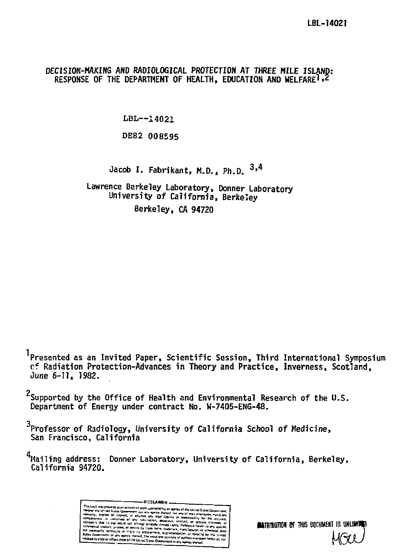# DECISION-MAKING AND RADIOLOGICAL PROTECTION AT THREE MILE ISLAND: RESPONSE OF THE DEPARTMENT OF HEALTH, EDUCATION AND WELFARE<sup>1,2</sup>

LBL--14021

DE82 008595

Jacob I. Fabrikant, M.D., Ph.D. <sup>934</sup>

Lawrence Berkeley Laboratory, Donner Laboratory University of California, Berkeley Berkeley, CA 94720

<sup>1</sup>Presented as an Invited Paper, Scientific Session, Third International Symposium cf Radiation Protection-Advances in Theory and Practice, Inverness, Scotland, June 6-11, 1982.

<sup>2</sup>Supported by the Office of Health and Environmental Research of the U.S. Department of Energy under contract No. W-7405-ENG-48.

 $3$ Professor of Radiology, University of California School of Medicine, San Francisco, California

 $^{4}$ Mailing address: Donner Laboratory, University of California, Berkeley, California 94720.

> **DISCLAIMER** onsored by an apency of the United States C overnment on any agency thereof, The views and<br>Iy STINE OF reflect those of the United States Govern

*the TRIRINTON OF THIS DOCUMENT IS UNI*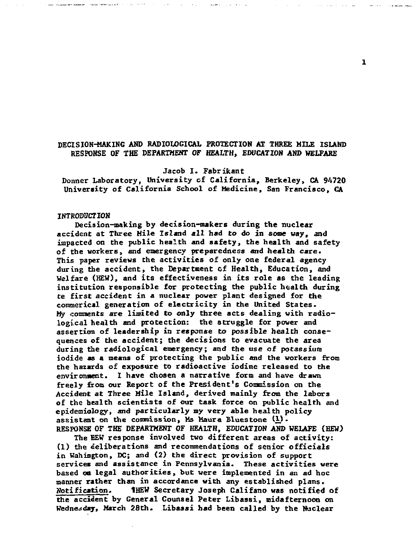# **DECISION-MAKING AND RADIOLOGICAL PROTECTION AT THREE MILE ISLAND RESPONSE OF THE DEPARTMENT OF HEALTH, EDUCATION AND WELFARE**

## **Jacob I. Fabrikant**

**Donner Laboratory, University of California , Berkeley, CA 94720 University of California School of Medicine, San Francisco, CA** 

#### **INTR0DUCTI0K**

**Decision-making by decision-makers during the nuclear accident at Three Mile Island al l had to do in some way, and impacted on the public health and safety , the health and safety of the workers, and emergency preparedness and health care .**  This paper reviews the activities of only one federal agency during the accident, the Department of Health, Education, and Welfare (HEW), and its effectiveness in its role as the leading institution responsible for protecting the public health during **te first accident in a nuclear power plant designed for the commerical generation of electricit y in the United States. My comments are limited to only three acts dealing with radio** logical health and protection: the struggle for power and assertion of leadership in response to possible health conse**quences of the accident; the decisions to evacuate the area during the radiologica l emergency; and the use of potassium iodide as a means of protecting the public and the workers from the hazards of exposure to radioactive iodine released to the environment. I have chosen a narrative form and have drawn freely from our Report of the President's Commission on the Accident at Three Mile Island, derived mainly from the labors of the health scientists of our task force on public health and**  epidemiology, and particularly my very able health policy **assistant on the coomission, Ms Maura Bluestone (I) . RESPONSE OF THE DEPARTMENT OF HEALTH, EDUCATION AND WELAFE (HEW)** 

**The HEW response involved two different areas of activity : (1) the deliberations and recommendations of senior officials**  in Wahington, DC; and (2) the direct provision of support **services and assistanc e in Pennsylvania. These activitie s were based on legal authorities, but were implemented in an ad hoc manner rather than in accordance with any established plans. Notification. 1HEW Secretary Joseph Califano was notified of the accident by General Counsel Peter Libassi, midafternoon on Wednesday, March 28th. Libaasi bad been called by the Nuclear** 

ı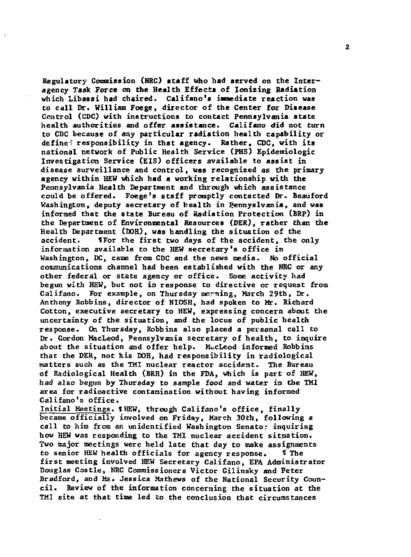**Regulatory Commission (NRC) staff who had served on the Inter agency Task Force on the Health Effects of Ionizing Radiation which Libassi had chaired. Califano's immediate reaction vas to cal l Dr. William Foege, director of the Center for Disease Control (CDC) with instructions to contact Pennsylvania state health authoritie s and offer assistance . Califano did not turn to CDC because of any particular radiation health capability or define " responsibilit y in that agency. Rather, CDC, with its national network of Public Health Service (PHS) Epidemiologic**  Investigation Service (EIS) officers available to assist in **diseas e surveillance and control, was recognized as the primary agency within HEW which had a working relationship with the**  Pennsylvania Health Department and through which assistance **could be offered. Foege's staff promptly contacted Dr. Beauford Washington, deputy secretary of health in Rennyslvania, and was informed that the stat e Bureau of Radiation Protection (BRP) in the Department of Environmental Resources (DER), rather than the Health Department (DOH), was handling the situation of the accident. UFor the first two days of the accident, the only information available to the HEW secretary's offic e in**  Washington, DC, came from CDC and the news media. No official **communications channel had been established with the NRC or any other federal or stat e agency or office . Some activit y had**  begun with HEW, but not in response to directive or request from **Califano. For example, on Thursday morning, March 29th, Dr. Anthony Robbins, director of NIOSH, had spoken to Mr. Richard Cotton, executive secretary to HEW, expressing concern about the uncertainty of the situation , and the locus of public health response. On Thursday, Robbins als o placed a personal call to Dr. Gordon MacLeod, Pennsylvania secretary of health , to inquire about the situation and offer help . MacLeod informed Robbins**  that the DER, not his DOH, had responsibility in radiological **matters such as the TMI nuclear reactor accident. The Bureau of Radiological Health <BRH> in the FDA, which is part of HEW, had also begun by Thursday to sample food and water in the TMI area for radioactive contamination without having informed Califano's office .** 

**Initia l Meetings. fHEW, through Califano's office , finall y**  became officially involved on Friday, March 30th, following a **cal l to him from an unidentified Washington Senator inquiring how HEW was responding to the TMI nuclear accident situation .**  Two major meetings were held late that day to make assignments **to senior HEW health officials for agency response . H The first meeting involved HEW Secretary Califano, EPA Administrator Douglas Costle , NRC Commissioners Victor Gilinsky and Peter Bradford, and Ms. Jessica Mathews of the National Security Council . Review of the information concerning the situation at the TMI sit e at that time led to the conclusion that circumstances**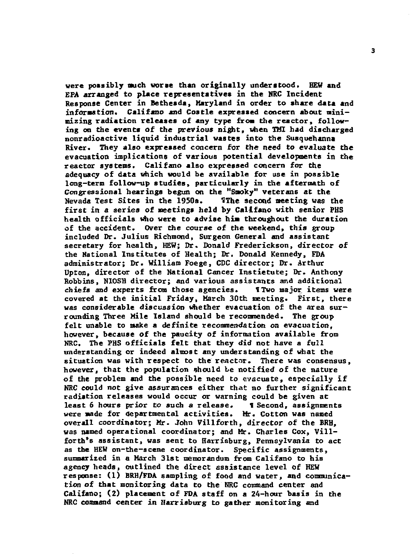**were possibly much worse than originall y understood. HEW and**  EPA arranged to place representatives in the NRC Incident **Response Center in Bethesda, Maryland in order to share data and information. Califano and Costle expressed concern about minimizing radiation release s of any type from the reactor , following on the events of the previous night, when TMI had discharged**  nonradioactive liquid industrial wastes into the Susquehanna **River. They also expressed concern for the need to evaluate the evacuation implications of various potential developments in the reactor systems. Califano also expressed concern for the**  adequacy of data which would be available for use in possible long-term follow-up studies, particularly in the aftermath of **Congressional hearings begun on the "Smoky" veterans at the**  Nevada Test Sites in the 1950s. **The second meeting was the** first in a series of meetings held by Califano with senior PHS **health officials who were to advise him throughout the duration of the accident. Over the course of the weekend, this group included Dr. Julius Richmond, Surgeon General and assistant secretary for health, HEW; Dr. Donald Frederickson, director of**  the National Institutes of Health; Dr. Donald Kennedy, FDA **administrator; Dr. William Foege, CDC director ; Dr. Arthur**  Upton, director of the National Cancer Insti<del>etute; Dr. Anthony</del> **Robbins, NIOSH director ; and various assistants and additional chiefs and experts from those agencies. ITwo major, items were covered at the initia l Friday, March 30th meeting. First, there was considerable discussion whether evacuation of the area sur rounding Three Mile Island should be recommended. The group felt unable to make a definite recommendation on evacuation,** however, because of the paucity of information available from NRC. The PHS officials felt that they did not have a full understanding or indeed almost any understanding of what the situation was with respect to the reactor. There was consensus, however, that the population should be notified of the nature of the problem and the possible need to evacuate, especially if **RRC** could not give assurances either that no further significant radistion releases would occur or warning could be given at<br>least 6 hours prior to such a release. **1** Second, assignments least 6 hours prior to such a release. **were made for departmental activities. Mr. Cotton was named** overall coordinator; Mr. John Villforth, director of the BRH, was named operational coordinator; and Mr. Charles Cox, Villforth's assistant, was sent to Harrisburg. Pennsylvania to act as the HEW on-the-scene coordinator. Specific assignments, summarized in a March 31st memorandum from Califano to his agency heads, outlined the direct assistance level of HEW response: (1) BRH/FDA sampling of food and water, and communication of that monitoring data to the NRC command center and Califano: (2) placement of FDA staff on a 24-hour basis in the NRC command center in Harrisburg to gather monitoring and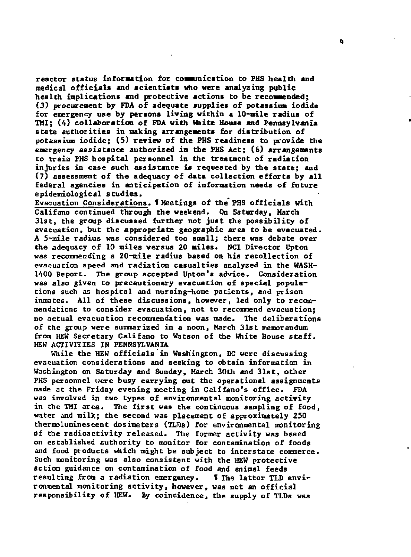**reactor status information for communication to FHS health and medical officials and scientists who were analyzing public health inplications and protective actions to be recommended; (3) procurement by FDA of adequate supplie s of potassium iodide**  for emergency use by persons living within a 10-mile radius of **TMI; (4) collaboration of FDA with Unite House and Pennsylvania stat e authoritie s in making arrangements for distribution of potassium iodide ; (5 ) review of the FHS readiness to provide the emergency assistanc e authorized in the FHS Act; (6) arrangements to train FHS hospita l personnel in the treatment of radiation**  injuries in case such assistance is requested by the state: and **(7) assessment of the adequacy of data collection efforts by al l federal agencies in anticipation of information needs of future epidemiological studies.** 

**Evacuation Considerations. 1 Meetings of the PHS officials with Califano continued through the weekend. On Saturday, March 31st, the group discussed further not just the possibility of evacuation, but the appropriate geographic area to be evacuated. A 5-mile radius was considered too small; there was debate over the adequacy of 10 mile s versus 20 miles. NCI Director Upton was recommending a 20-mile radius based on his recollection of evacuation speed and radiation casualtie s analyzed in the WASH-1400 Report. The group accepted Upton's advice. Consideration was also given to precautionary evacuation of special populations such as hospita l and nursing-home patients, and prison inmates. All of these discussions, however, led only to recommendations to consider evacuation, not to recommend evacuation; no actual evacuation recommendation was made. The deliberations of the group were summarized in a noon, March 31st memorandum from HEW Secretary Califano to Watson of the White House staff. HEW ACTIVITIES IN PENNSYLVANIA** 

**While the HEW officials in Washington, DC were discussing evacuation considerations and seeking to obtain information in Washington on Saturday and Sunday, March 30th and 31st, other PHS personnel were busy carrying out the operational assignments made at the Friday evening meeting in Califano's office . FDA**  was involved in two types of environmental monitoring activity **in the TMI area. The first was the continuous sampling of food, water and milk; the second was placement of approximately 250 thermoluminescent dosimeters (TLDs) for environmental monitoring of the radioactivit y released. The former activit y was based on established authority to monitor for contamination of foods**  and food products which might be subject to interstate commerce. **Such monitoring was also consistent with the HEW protective action guidance on contamination of food and animal feeds**  resulting from a radiation emergency. **I** The latter TLD envi**ronmental monitoring activity , however, was not an officia l**  responsibility of HEW. By coincidence, the supply of TLDs was

*t\**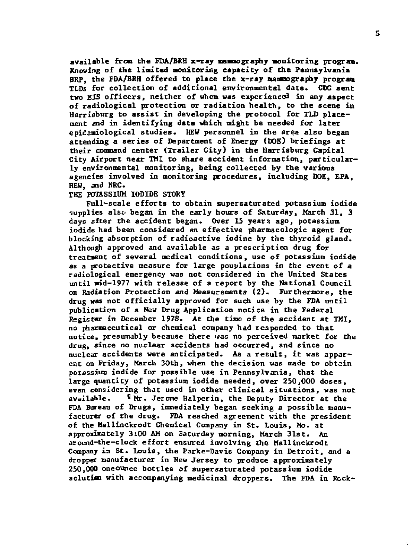**available from the FDA/BRH x-ray mammography son i t or in g program. Knowing of the limited monitoring capacity of the Pennsylvania BRP, the FDA/BRH offered to place the x-ray mammography program TLDs for collectio n of additional environmental data. CDC sent two EJS officers, neithe r of whom was experience^ in any aspect of radiological protection or radiation health , to the scene in Harrisburg to assist in developing the protocol for TLD place** ment and in identifying data which might be needed for later **epidemiological studies. HEW personnel in the area als o began**  attending a series of Department of Energy (DOE) briefings at **their command center (Trailer City) in the Harrisburg Capital City Airport near TMI to share accident information, particular ly environmental monitoring, being collected by the various agencies involved in monitoring procedures, including DOE, EPA, HEW, and NRC.** 

### **THE POTASSIUM IODIDE STORY**

**Full-scal e efforts to obtain supersaturated potassium iodide -supplies also began in the early hours of Saturday, March 31 , 3 days after the accident began. Over 15 years ago, potassium**  iodide had been considered an effective pharmacologic agent for **blocking absorption of radioactive iodine by the thyroid gland. Although approved and availabl e as a prescription drug for treatment of several medical conditions, use of potassium iodide as a protective measure for large pouplations in the event of a radiological emergency was not considered in the United States until mid-1977 with release of a report by the National Council on Radiation Protection and Measurements (2). Furthermore, the drug was not officiall y approved for such use by the FDA until**  publication of a New Drug Application notice in the Federal **Register in December 1978. At the time of the accident at TMI, no pharmaceutical or chemical company had responded to that notice , presumably because there was no perceived market for the**  drug, since no nuclear accidents had occurred, and since no nuclear accidents were anticipated. As a result, it was appar**ent on Friday, March 30th, when the decision was made to obtain**  potassium iodide for possible use in Pennsylvania, that the **large quantity of potassium iodide needed, over 250,000 doses,**  even considering that used in other clinical situations, was not **available. 'Mr . Jerome Halperin, the Deputy Director at the**  FDA Bureau of Drugs, immediately began seeking a possible manu**facturer of the drug. FDA reached agreement with the president of the Hallinckrodt Chemical Company in St. Louis, Mo. at**  or the mailmextool chemical company in st. Louis, no. at approximately 3:00 AM on Saturday morning, March 31st. An arouna-che-chock effort ensured involving the Mallinckroat<br>Company in St. Louis, the Parke-Davis Company in Detroit, and a dropper manufacturer in New Jersey to produce approximately **solution with accompanying medicinal droppers. The FDA in Reck-**

 $\sim$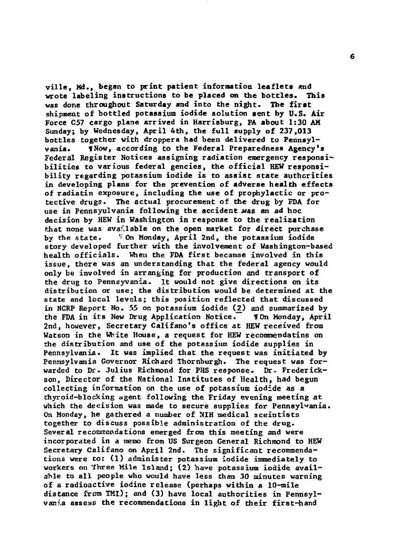**ville , Md., began to print patient information leaflets and wrote labeling instructions to be placed on the bottles. This was done throughout Saturday and into the night. The first shipment of bottled potassium iodide solution sent by U.S. Air Force C57 cargo plane arrived in Harrisburg, FA about 1:30 AH Sunday; by Wednesday, April 4th, the ful l supply of 237,013**  bottles together with droppers had been delivered to Pennsyl**vania. fNow, according to the Federal Preparedness Agency's Federal Register Notices assigning radiation emergency responsi**bilities to various federal gencies, the official HEW responsi**bilit y regarding potassium iodide is to assist stat e authoritie s in developing plans for the prevention of adverse health effects of radiatin exposure, including the use of prophylactic or pro**tective drugs. The actual procurement of the drug by FDA for **use in Fennsyulvania following the accident** *Mae* **an ad hoc decision by HEW in Washington in response to the realizatio n**  that none was available on the open market for direct purchase **by the state . 'On Monday, April 2nd, the potassium iodide story developed further with the involvement of Washington-based health officials. When the FDA first becarase involved in this issue , there was an understanding that the federal agency would only be involved in arranging for production and transport of the drug to Pennsyvania. It would not give directions on its distribution or use; the distribution would be determined at the stat e and local levels; this position reflected that discussed in NCRP Report No. 55 on potassium iodide (2) and summarized by the FDA in its New Drug Application Notice. 1 On Monday, April**  2nd, however, Secretary Califano's office at HEW received from **Watson in the White House, a request for HEW recommendatins on the distribution and use of the potassium iodide supplie s in**  Pennsylvania. It was implied that the request was initiated by **Pennsylvania Governor Richard Thornburgh. The request was for warded to Dr. Julius Richmond for PHS response . Dr.. Frederick**son, Director of the National Institutes of Health, had begun **collecting information on the use of potassium iodide as a**  thyroid-blocking agent following the Friday evening meeting at **which the decision was made to secure supplies for Pennsylvania. On Monday, he gathered a number of NIH medical sceintists together to discuss possible administration of the drug. Several recommendations emerged from this meeting and were incorporated in a memo from US Surgeon General Richmond to HEW**  Secretary Califano on April 2nd. The significant recommenda**tions were to: (1 ) administer potassium iodide immediately to workers on Three Mile Island; (2 ) have potassium iodide avail**able to all people who would have less than 30 minutes warning of a radioactive iodine release (perhaps within a 10-mile distance from TMI); and (3) have local authorities in Pennsylvania assess the recommendations in light of their first-hand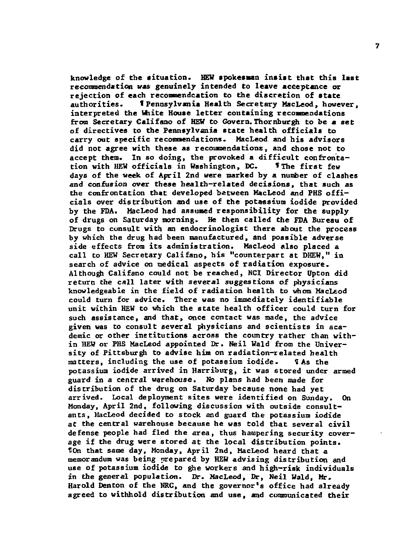knowledge of the situation. HEW spokesman insist that this last **recommendation was genuinely intended to leave acceptance or rejection of each [reconmer.de](http://reconmer.de) at ion to the discretion of stat e authorities\* 1 Pennsylvania Health Secretary MacLeod, however, interpreted the White House lette r containing recommendations**  from Secretary Califano of HEW to Govern. Thornhurgh to be a set of directives to the Pennsylvania state health officials to carry out specific recommendations. MacLeod and his advisors **did not agree with these as recommendations, and chose not to**  accept them. In so doing, the provoked a difficult confronta**tion with HEW officials in Washington, DC. f The first few days of the week of April 2nd were marked by a number of clashes and confusion over these health-related decisions, that such as the confrontation that developed between MacLeod and PHS offi cials over distribution and use of the potassium iodide provided**  by the FDA. MacLeod had assumed responsibility for the supply **of drugs on Saturday morning. He then called the FDA Bureau of Drugs to consult with an endocrinologist there about the process**  by which the drug had been manufactured, and possible adverse **side effects from its administration. MacLeod also placed a cal l to HEW Secretary Califano, his "counterpart at DHEW," in**  search of advice on medical aspects of radiation exposure. **Although Califano could not be reached, NCI Director Upton did return the cal l late r with several suggestions of physicians knowledgeable in the field of radiation health to whom MacLeod**  could turn for advice. There was no immediately identifiable could turn for advice. There was no immediately identifiable unit within HEW to which the state health officer could turn for such assistance, and that, once contact was made, the advice given was to consult several physicians and scientists in academic or other institutions across the country rather than within HEW or PHS MacLeod appointed Dr. Neil Wald from the Univer**matters, including the use of potassium iodide . H As the**  matters, including the use of potassium iodide. potassium iodide arrived in Harriburg, it was stored under armed **guard in a central warehouse.** No plans had been made for distribution of the drug on Saturday because none had yet arrived. Local deployment sites were identified on Sunday, On Monday, April 2nd, following discussion with outside consultants, Hacleod decided to stock and guard the potassium iodide at the central warehouse because he was told that several civil defense people had fled the area, thus hampering security coverage if the drug were stored at the local distribution points. **TOn that same day, Monday, April 2nd, MacLeod heard that a** memorandum was being prepared by HEW advising distribution and use of potassium iodide to ghe workers and high-risk individuals in the general population. Dr. MacLeod, Dr. Weil Wald. Mr. Harold Denton of the NRC, and the governor's office had already agreed to withhold distribution and use, and communicated their